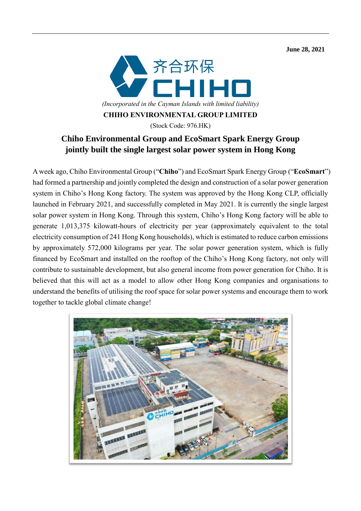**June 28, 2021** 



**CHIHO ENVIRONMENTAL GROUP LIMITED**

(Stock Code: 976.HK)

## **Chiho Environmental Group and EcoSmart Spark Energy Group jointly built the single largest solar power system in Hong Kong**

A week ago, Chiho Environmental Group ("**Chiho**") and EcoSmart Spark Energy Group ("**EcoSmart**") had formed a partnership and jointly completed the design and construction of a solar power generation system in Chiho's Hong Kong factory. The system was approved by the Hong Kong CLP, officially launched in February 2021, and successfully completed in May 2021. It is currently the single largest solar power system in Hong Kong. Through this system, Chiho's Hong Kong factory will be able to generate 1,013,375 kilowatt-hours of electricity per year (approximately equivalent to the total electricity consumption of 241 Hong Kong households), which is estimated to reduce carbon emissions by approximately 572,000 kilograms per year. The solar power generation system, which is fully financed by EcoSmart and installed on the rooftop of the Chiho's Hong Kong factory, not only will contribute to sustainable development, but also general income from power generation for Chiho. It is believed that this will act as a model to allow other Hong Kong companies and organisations to understand the benefits of utilising the roof space for solar power systems and encourage them to work together to tackle global climate change!

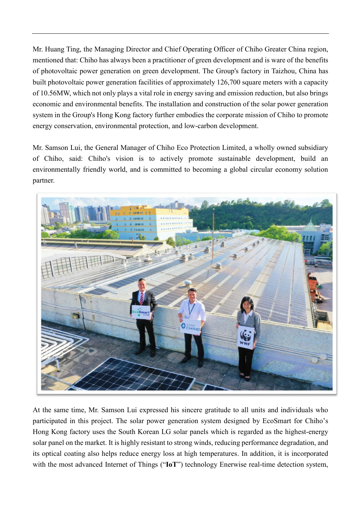Mr. Huang Ting, the Managing Director and Chief Operating Officer of Chiho Greater China region, mentioned that: Chiho has always been a practitioner of green development and is ware of the benefits of photovoltaic power generation on green development. The Group's factory in Taizhou, China has built photovoltaic power generation facilities of approximately 126,700 square meters with a capacity of 10.56MW, which not only plays a vital role in energy saving and emission reduction, but also brings economic and environmental benefits. The installation and construction of the solar power generation system in the Group's Hong Kong factory further embodies the corporate mission of Chiho to promote energy conservation, environmental protection, and low-carbon development.

Mr. Samson Lui, the General Manager of Chiho Eco Protection Limited, a wholly owned subsidiary of Chiho, said: Chiho's vision is to actively promote sustainable development, build an environmentally friendly world, and is committed to becoming a global circular economy solution partner.



At the same time, Mr. Samson Lui expressed his sincere gratitude to all units and individuals who participated in this project. The solar power generation system designed by EcoSmart for Chiho's Hong Kong factory uses the South Korean LG solar panels which is regarded as the highest-energy solar panel on the market. It is highly resistant to strong winds, reducing performance degradation, and its optical coating also helps reduce energy loss at high temperatures. In addition, it is incorporated with the most advanced Internet of Things ("IoT") technology Enerwise real-time detection system,